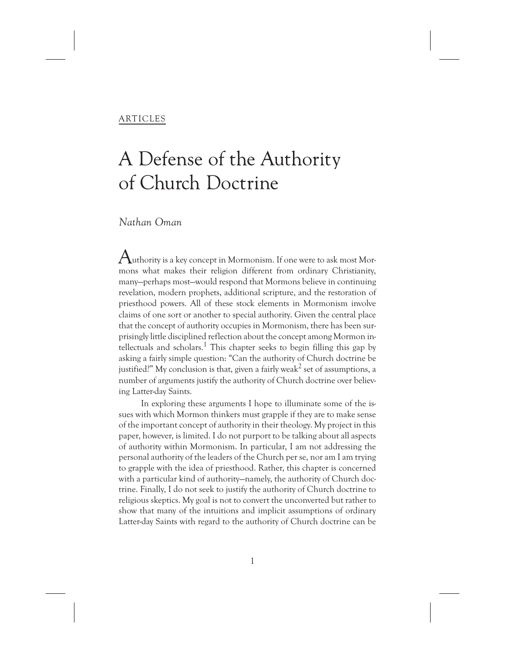### ARTICLES

# A Defense of the Authority of Church Doctrine

## *Nathan Oman*

 ${\mathcal A}$ uthority is a key concept in Mormonism. If one were to ask most Mormons what makes their religion different from ordinary Christianity, many—perhaps most—would respond that Mormons believe in continuing revelation, modern prophets, additional scripture, and the restoration of priesthood powers. All of these stock elements in Mormonism involve claims of one sort or another to special authority. Given the central place that the concept of authority occupies in Mormonism, there has been surprisingly little disciplined reflection about the concept among Mormon in $t$ ellectuals and scholars.<sup>1</sup> This chapter seeks to begin filling this gap by asking a fairly simple question: "Can the authority of Church doctrine be justified?" My conclusion is that, given a fairly weak<sup>2</sup> set of assumptions, a number of arguments justify the authority of Church doctrine over believing Latter-day Saints.

In exploring these arguments I hope to illuminate some of the issues with which Mormon thinkers must grapple if they are to make sense of the important concept of authority in their theology. My project in this paper, however, is limited. I do not purport to be talking about all aspects of authority within Mormonism. In particular, I am not addressing the personal authority of the leaders of the Church per se, nor am I am trying to grapple with the idea of priesthood. Rather, this chapter is concerned with a particular kind of authority—namely, the authority of Church doctrine. Finally, I do not seek to justify the authority of Church doctrine to religious skeptics. My goal is not to convert the unconverted but rather to show that many of the intuitions and implicit assumptions of ordinary Latter-day Saints with regard to the authority of Church doctrine can be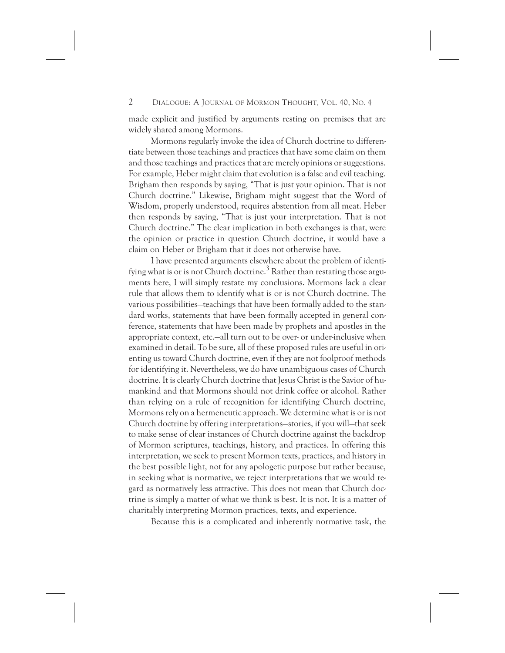made explicit and justified by arguments resting on premises that are widely shared among Mormons.

Mormons regularly invoke the idea of Church doctrine to differentiate between those teachings and practices that have some claim on them and those teachings and practices that are merely opinions or suggestions. For example, Heber might claim that evolution is a false and evil teaching. Brigham then responds by saying, "That is just your opinion. That is not Church doctrine." Likewise, Brigham might suggest that the Word of Wisdom, properly understood, requires abstention from all meat. Heber then responds by saying, "That is just your interpretation. That is not Church doctrine." The clear implication in both exchanges is that, were the opinion or practice in question Church doctrine, it would have a claim on Heber or Brigham that it does not otherwise have.

I have presented arguments elsewhere about the problem of identifying what is or is not Church doctrine.<sup>3</sup> Rather than restating those arguments here, I will simply restate my conclusions. Mormons lack a clear rule that allows them to identify what is or is not Church doctrine. The various possibilities—teachings that have been formally added to the standard works, statements that have been formally accepted in general conference, statements that have been made by prophets and apostles in the appropriate context, etc.—all turn out to be over- or under-inclusive when examined in detail. To be sure, all of these proposed rules are useful in orienting us toward Church doctrine, even if they are not foolproof methods for identifying it. Nevertheless, we do have unambiguous cases of Church doctrine. It is clearly Church doctrine that Jesus Christ is the Savior of humankind and that Mormons should not drink coffee or alcohol. Rather than relying on a rule of recognition for identifying Church doctrine, Mormons rely on a hermeneutic approach. We determine what is or is not Church doctrine by offering interpretations—stories, if you will—that seek to make sense of clear instances of Church doctrine against the backdrop of Mormon scriptures, teachings, history, and practices. In offering this interpretation, we seek to present Mormon texts, practices, and history in the best possible light, not for any apologetic purpose but rather because, in seeking what is normative, we reject interpretations that we would regard as normatively less attractive. This does not mean that Church doctrine is simply a matter of what we think is best. It is not. It is a matter of charitably interpreting Mormon practices, texts, and experience.

Because this is a complicated and inherently normative task, the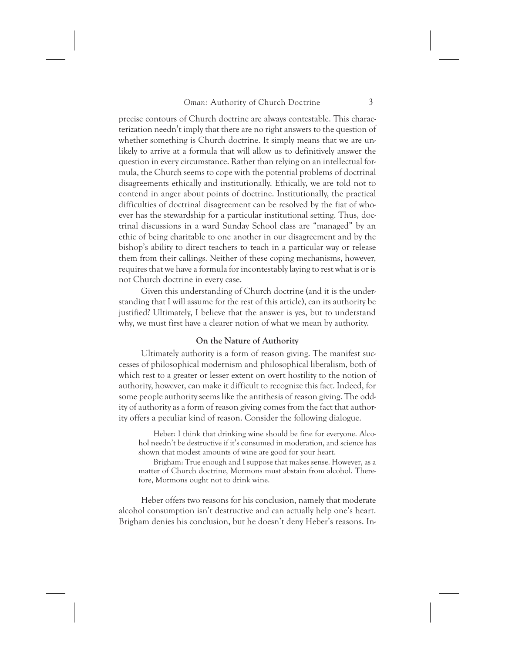precise contours of Church doctrine are always contestable. This characterization needn't imply that there are no right answers to the question of whether something is Church doctrine. It simply means that we are unlikely to arrive at a formula that will allow us to definitively answer the question in every circumstance. Rather than relying on an intellectual formula, the Church seems to cope with the potential problems of doctrinal disagreements ethically and institutionally. Ethically, we are told not to contend in anger about points of doctrine. Institutionally, the practical difficulties of doctrinal disagreement can be resolved by the fiat of whoever has the stewardship for a particular institutional setting. Thus, doctrinal discussions in a ward Sunday School class are "managed" by an ethic of being charitable to one another in our disagreement and by the bishop's ability to direct teachers to teach in a particular way or release them from their callings. Neither of these coping mechanisms, however, requires that we have a formula for incontestably laying to rest what is or is not Church doctrine in every case.

Given this understanding of Church doctrine (and it is the understanding that I will assume for the rest of this article), can its authority be justified? Ultimately, I believe that the answer is yes, but to understand why, we must first have a clearer notion of what we mean by authority.

#### **On the Nature of Authority**

Ultimately authority is a form of reason giving. The manifest successes of philosophical modernism and philosophical liberalism, both of which rest to a greater or lesser extent on overt hostility to the notion of authority, however, can make it difficult to recognize this fact. Indeed, for some people authority seems like the antithesis of reason giving. The oddity of authority as a form of reason giving comes from the fact that authority offers a peculiar kind of reason. Consider the following dialogue.

Heber: I think that drinking wine should be fine for everyone. Alcohol needn't be destructive if it's consumed in moderation, and science has shown that modest amounts of wine are good for your heart.

Brigham: True enough and I suppose that makes sense. However, as a matter of Church doctrine, Mormons must abstain from alcohol. Therefore, Mormons ought not to drink wine.

Heber offers two reasons for his conclusion, namely that moderate alcohol consumption isn't destructive and can actually help one's heart. Brigham denies his conclusion, but he doesn't deny Heber's reasons. In-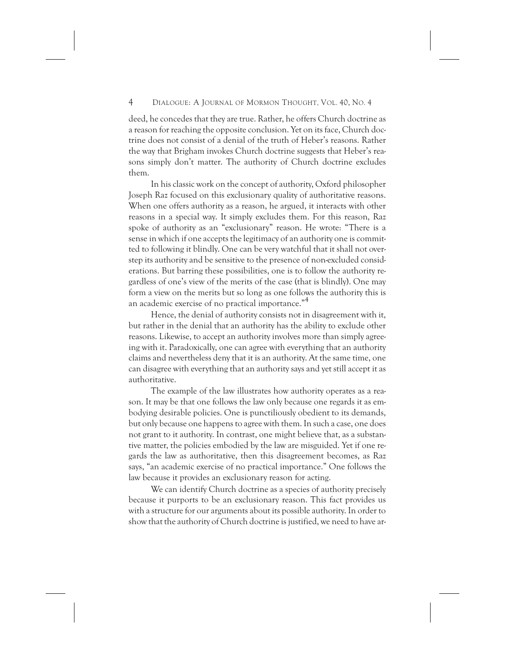deed, he concedes that they are true. Rather, he offers Church doctrine as a reason for reaching the opposite conclusion. Yet on its face, Church doctrine does not consist of a denial of the truth of Heber's reasons. Rather the way that Brigham invokes Church doctrine suggests that Heber's reasons simply don't matter. The authority of Church doctrine excludes them.

In his classic work on the concept of authority, Oxford philosopher Joseph Raz focused on this exclusionary quality of authoritative reasons. When one offers authority as a reason, he argued, it interacts with other reasons in a special way. It simply excludes them. For this reason, Raz spoke of authority as an "exclusionary" reason. He wrote: "There is a sense in which if one accepts the legitimacy of an authority one is committed to following it blindly. One can be very watchful that it shall not overstep its authority and be sensitive to the presence of non-excluded considerations. But barring these possibilities, one is to follow the authority regardless of one's view of the merits of the case (that is blindly). One may form a view on the merits but so long as one follows the authority this is an academic exercise of no practical importance."4

Hence, the denial of authority consists not in disagreement with it, but rather in the denial that an authority has the ability to exclude other reasons. Likewise, to accept an authority involves more than simply agreeing with it. Paradoxically, one can agree with everything that an authority claims and nevertheless deny that it is an authority. At the same time, one can disagree with everything that an authority says and yet still accept it as authoritative.

The example of the law illustrates how authority operates as a reason. It may be that one follows the law only because one regards it as embodying desirable policies. One is punctiliously obedient to its demands, but only because one happens to agree with them. In such a case, one does not grant to it authority. In contrast, one might believe that, as a substantive matter, the policies embodied by the law are misguided. Yet if one regards the law as authoritative, then this disagreement becomes, as Raz says, "an academic exercise of no practical importance." One follows the law because it provides an exclusionary reason for acting.

We can identify Church doctrine as a species of authority precisely because it purports to be an exclusionary reason. This fact provides us with a structure for our arguments about its possible authority. In order to show that the authority of Church doctrine is justified, we need to have ar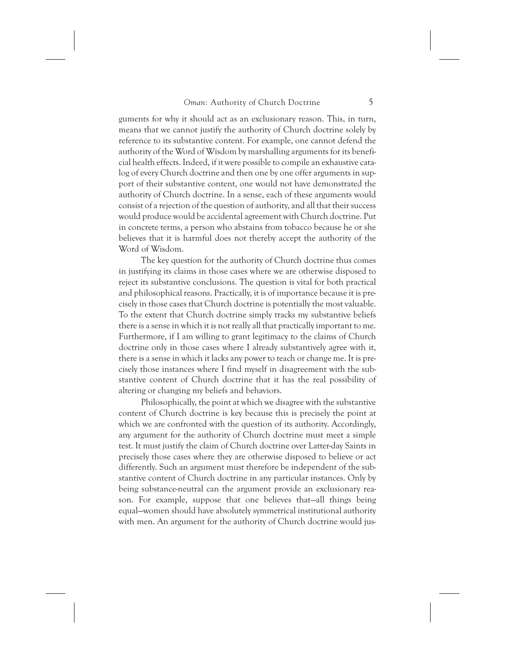guments for why it should act as an exclusionary reason. This, in turn, means that we cannot justify the authority of Church doctrine solely by reference to its substantive content. For example, one cannot defend the authority of the Word of Wisdom by marshalling arguments for its beneficial health effects. Indeed, if it were possible to compile an exhaustive catalog of every Church doctrine and then one by one offer arguments in support of their substantive content, one would not have demonstrated the authority of Church doctrine. In a sense, each of these arguments would consist of a rejection of the question of authority, and all that their success would produce would be accidental agreement with Church doctrine. Put in concrete terms, a person who abstains from tobacco because he or she believes that it is harmful does not thereby accept the authority of the Word of Wisdom.

The key question for the authority of Church doctrine thus comes in justifying its claims in those cases where we are otherwise disposed to reject its substantive conclusions. The question is vital for both practical and philosophical reasons. Practically, it is of importance because it is precisely in those cases that Church doctrine is potentially the most valuable. To the extent that Church doctrine simply tracks my substantive beliefs there is a sense in which it is not really all that practically important to me. Furthermore, if I am willing to grant legitimacy to the claims of Church doctrine only in those cases where I already substantively agree with it, there is a sense in which it lacks any power to teach or change me. It is precisely those instances where I find myself in disagreement with the substantive content of Church doctrine that it has the real possibility of altering or changing my beliefs and behaviors.

Philosophically, the point at which we disagree with the substantive content of Church doctrine is key because this is precisely the point at which we are confronted with the question of its authority. Accordingly, any argument for the authority of Church doctrine must meet a simple test. It must justify the claim of Church doctrine over Latter-day Saints in precisely those cases where they are otherwise disposed to believe or act differently. Such an argument must therefore be independent of the substantive content of Church doctrine in any particular instances. Only by being substance-neutral can the argument provide an exclusionary reason. For example, suppose that one believes that—all things being equal—women should have absolutely symmetrical institutional authority with men. An argument for the authority of Church doctrine would jus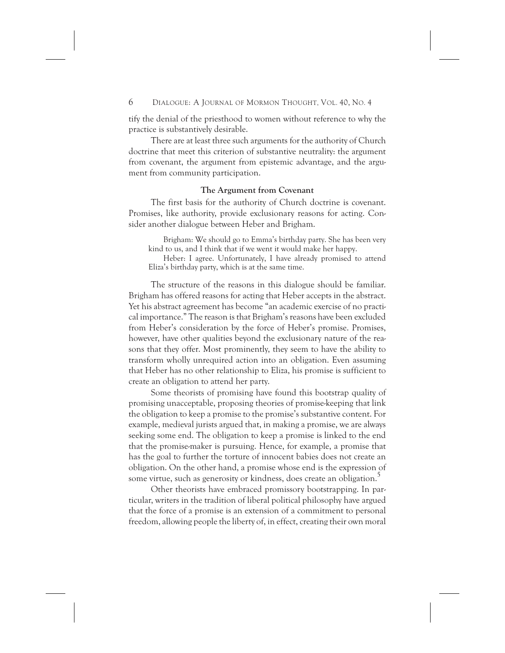tify the denial of the priesthood to women without reference to why the practice is substantively desirable.

There are at least three such arguments for the authority of Church doctrine that meet this criterion of substantive neutrality: the argument from covenant, the argument from epistemic advantage, and the argument from community participation.

#### **The Argument from Covenant**

The first basis for the authority of Church doctrine is covenant. Promises, like authority, provide exclusionary reasons for acting. Consider another dialogue between Heber and Brigham.

Brigham: We should go to Emma's birthday party. She has been very kind to us, and I think that if we went it would make her happy.

Heber: I agree. Unfortunately, I have already promised to attend Eliza's birthday party, which is at the same time.

The structure of the reasons in this dialogue should be familiar. Brigham has offered reasons for acting that Heber accepts in the abstract. Yet his abstract agreement has become "an academic exercise of no practical importance." The reason is that Brigham's reasons have been excluded from Heber's consideration by the force of Heber's promise. Promises, however, have other qualities beyond the exclusionary nature of the reasons that they offer. Most prominently, they seem to have the ability to transform wholly unrequired action into an obligation. Even assuming that Heber has no other relationship to Eliza, his promise is sufficient to create an obligation to attend her party.

Some theorists of promising have found this bootstrap quality of promising unacceptable, proposing theories of promise-keeping that link the obligation to keep a promise to the promise's substantive content. For example, medieval jurists argued that, in making a promise, we are always seeking some end. The obligation to keep a promise is linked to the end that the promise-maker is pursuing. Hence, for example, a promise that has the goal to further the torture of innocent babies does not create an obligation. On the other hand, a promise whose end is the expression of some virtue, such as generosity or kindness, does create an obligation.<sup>5</sup>

Other theorists have embraced promissory bootstrapping. In particular, writers in the tradition of liberal political philosophy have argued that the force of a promise is an extension of a commitment to personal freedom, allowing people the liberty of, in effect, creating their own moral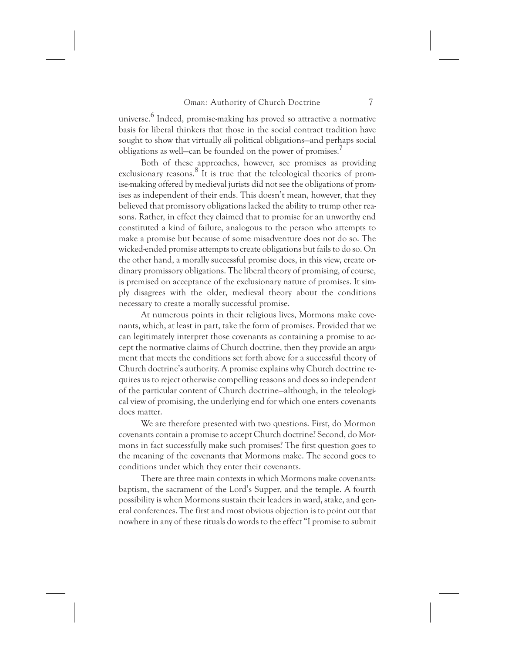universe.<sup>6</sup> Indeed, promise-making has proved so attractive a normative basis for liberal thinkers that those in the social contract tradition have sought to show that virtually *all* political obligations—and perhaps social obligations as well—can be founded on the power of promises.<sup>7</sup>

Both of these approaches, however, see promises as providing exclusionary reasons.<sup>8</sup> It is true that the teleological theories of promise-making offered by medieval jurists did not see the obligations of promises as independent of their ends. This doesn't mean, however, that they believed that promissory obligations lacked the ability to trump other reasons. Rather, in effect they claimed that to promise for an unworthy end constituted a kind of failure, analogous to the person who attempts to make a promise but because of some misadventure does not do so. The wicked-ended promise attempts to create obligations but fails to do so. On the other hand, a morally successful promise does, in this view, create ordinary promissory obligations. The liberal theory of promising, of course, is premised on acceptance of the exclusionary nature of promises. It simply disagrees with the older, medieval theory about the conditions necessary to create a morally successful promise.

At numerous points in their religious lives, Mormons make covenants, which, at least in part, take the form of promises. Provided that we can legitimately interpret those covenants as containing a promise to accept the normative claims of Church doctrine, then they provide an argument that meets the conditions set forth above for a successful theory of Church doctrine's authority. A promise explains why Church doctrine requires us to reject otherwise compelling reasons and does so independent of the particular content of Church doctrine—although, in the teleological view of promising, the underlying end for which one enters covenants does matter.

We are therefore presented with two questions. First, do Mormon covenants contain a promise to accept Church doctrine? Second, do Mormons in fact successfully make such promises? The first question goes to the meaning of the covenants that Mormons make. The second goes to conditions under which they enter their covenants.

There are three main contexts in which Mormons make covenants: baptism, the sacrament of the Lord's Supper, and the temple. A fourth possibility is when Mormons sustain their leaders in ward, stake, and general conferences. The first and most obvious objection is to point out that nowhere in any of these rituals do words to the effect "I promise to submit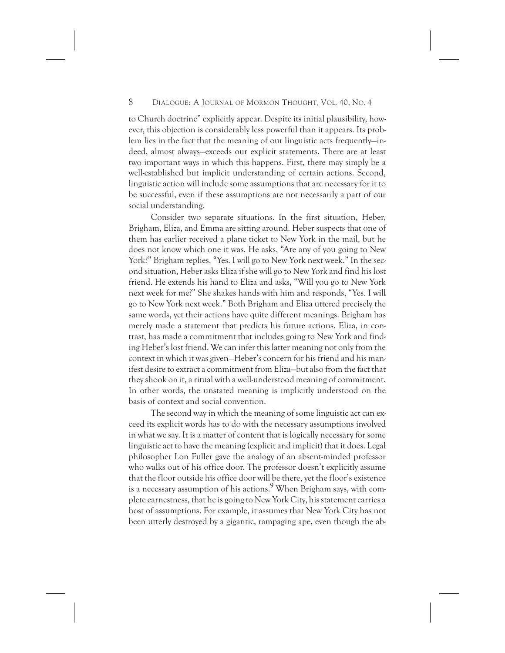to Church doctrine" explicitly appear. Despite its initial plausibility, however, this objection is considerably less powerful than it appears. Its problem lies in the fact that the meaning of our linguistic acts frequently—indeed, almost always—exceeds our explicit statements. There are at least two important ways in which this happens. First, there may simply be a well-established but implicit understanding of certain actions. Second, linguistic action will include some assumptions that are necessary for it to be successful, even if these assumptions are not necessarily a part of our social understanding.

Consider two separate situations. In the first situation, Heber, Brigham, Eliza, and Emma are sitting around. Heber suspects that one of them has earlier received a plane ticket to New York in the mail, but he does not know which one it was. He asks, "Are any of you going to New York?" Brigham replies, "Yes. I will go to New York next week." In the second situation, Heber asks Eliza if she will go to New York and find his lost friend. He extends his hand to Eliza and asks, "Will you go to New York next week for me?" She shakes hands with him and responds, "Yes. I will go to New York next week." Both Brigham and Eliza uttered precisely the same words, yet their actions have quite different meanings. Brigham has merely made a statement that predicts his future actions. Eliza, in contrast, has made a commitment that includes going to New York and finding Heber's lost friend. We can infer this latter meaning not only from the context in which it was given—Heber's concern for his friend and his manifest desire to extract a commitment from Eliza—but also from the fact that they shook on it, a ritual with a well-understood meaning of commitment. In other words, the unstated meaning is implicitly understood on the basis of context and social convention.

The second way in which the meaning of some linguistic act can exceed its explicit words has to do with the necessary assumptions involved in what we say. It is a matter of content that is logically necessary for some linguistic act to have the meaning (explicit and implicit) that it does. Legal philosopher Lon Fuller gave the analogy of an absent-minded professor who walks out of his office door. The professor doesn't explicitly assume that the floor outside his office door will be there, yet the floor's existence is a necessary assumption of his actions. When Brigham says, with complete earnestness, that he is going to New York City, his statement carries a host of assumptions. For example, it assumes that New York City has not been utterly destroyed by a gigantic, rampaging ape, even though the ab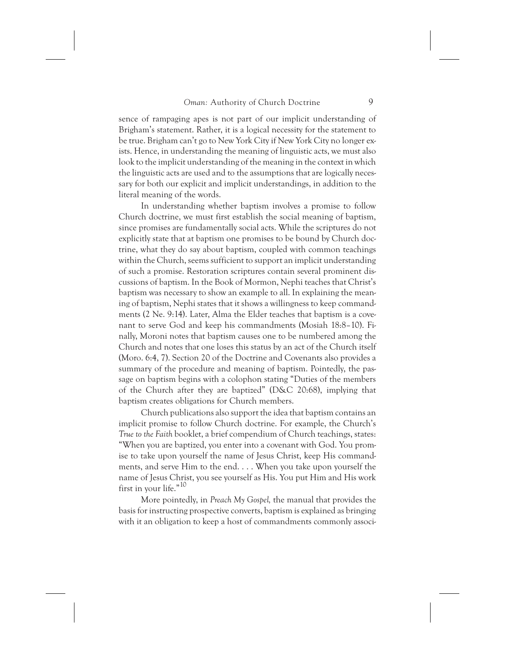sence of rampaging apes is not part of our implicit understanding of Brigham's statement. Rather, it is a logical necessity for the statement to be true. Brigham can't go to New York City if New York City no longer exists. Hence, in understanding the meaning of linguistic acts, we must also look to the implicit understanding of the meaning in the context in which the linguistic acts are used and to the assumptions that are logically necessary for both our explicit and implicit understandings, in addition to the literal meaning of the words.

In understanding whether baptism involves a promise to follow Church doctrine, we must first establish the social meaning of baptism, since promises are fundamentally social acts. While the scriptures do not explicitly state that at baptism one promises to be bound by Church doctrine, what they do say about baptism, coupled with common teachings within the Church, seems sufficient to support an implicit understanding of such a promise. Restoration scriptures contain several prominent discussions of baptism. In the Book of Mormon, Nephi teaches that Christ's baptism was necessary to show an example to all. In explaining the meaning of baptism, Nephi states that it shows a willingness to keep commandments (2 Ne. 9:14). Later, Alma the Elder teaches that baptism is a covenant to serve God and keep his commandments (Mosiah 18:8–10). Finally, Moroni notes that baptism causes one to be numbered among the Church and notes that one loses this status by an act of the Church itself (Moro. 6:4, 7). Section 20 of the Doctrine and Covenants also provides a summary of the procedure and meaning of baptism. Pointedly, the passage on baptism begins with a colophon stating "Duties of the members of the Church after they are baptized" (D&C 20:68), implying that baptism creates obligations for Church members.

Church publications also support the idea that baptism contains an implicit promise to follow Church doctrine. For example, the Church's *True to the Faith* booklet, a brief compendium of Church teachings, states: "When you are baptized, you enter into a covenant with God. You promise to take upon yourself the name of Jesus Christ, keep His commandments, and serve Him to the end. . . . When you take upon yourself the name of Jesus Christ, you see yourself as His. You put Him and His work first in your life."10

More pointedly, in *Preach My Gospel,* the manual that provides the basis for instructing prospective converts, baptism is explained as bringing with it an obligation to keep a host of commandments commonly associ-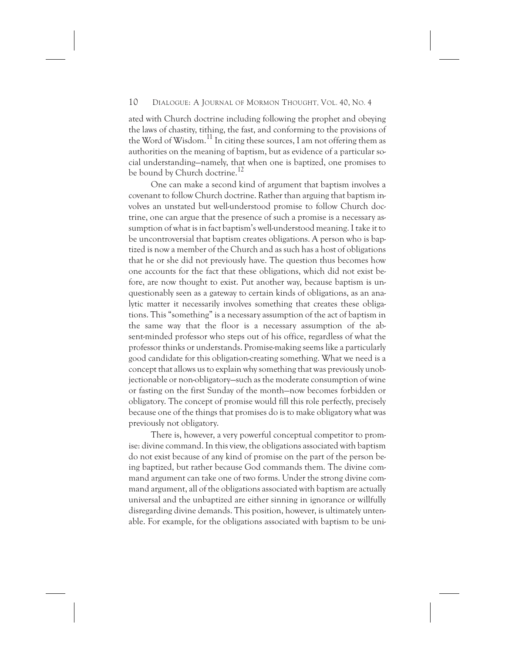ated with Church doctrine including following the prophet and obeying the laws of chastity, tithing, the fast, and conforming to the provisions of the Word of Wisdom.<sup>11</sup> In citing these sources, I am not offering them as authorities on the meaning of baptism, but as evidence of a particular social understanding—namely, that when one is baptized, one promises to be bound by Church doctrine.<sup>12</sup>

One can make a second kind of argument that baptism involves a covenant to follow Church doctrine. Rather than arguing that baptism involves an unstated but well-understood promise to follow Church doctrine, one can argue that the presence of such a promise is a necessary assumption of what is in fact baptism's well-understood meaning. I take it to be uncontroversial that baptism creates obligations. A person who is baptized is now a member of the Church and as such has a host of obligations that he or she did not previously have. The question thus becomes how one accounts for the fact that these obligations, which did not exist before, are now thought to exist. Put another way, because baptism is unquestionably seen as a gateway to certain kinds of obligations, as an analytic matter it necessarily involves something that creates these obligations. This "something" is a necessary assumption of the act of baptism in the same way that the floor is a necessary assumption of the absent-minded professor who steps out of his office, regardless of what the professor thinks or understands. Promise-making seems like a particularly good candidate for this obligation-creating something. What we need is a concept that allows us to explain why something that was previously unobjectionable or non-obligatory—such as the moderate consumption of wine or fasting on the first Sunday of the month—now becomes forbidden or obligatory. The concept of promise would fill this role perfectly, precisely because one of the things that promises do is to make obligatory what was previously not obligatory.

There is, however, a very powerful conceptual competitor to promise: divine command. In this view, the obligations associated with baptism do not exist because of any kind of promise on the part of the person being baptized, but rather because God commands them. The divine command argument can take one of two forms. Under the strong divine command argument, all of the obligations associated with baptism are actually universal and the unbaptized are either sinning in ignorance or willfully disregarding divine demands. This position, however, is ultimately untenable. For example, for the obligations associated with baptism to be uni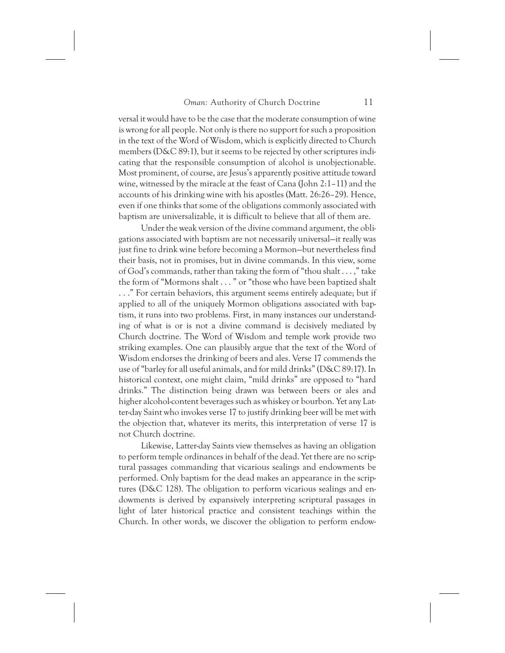versal it would have to be the case that the moderate consumption of wine is wrong for all people. Not only is there no support for such a proposition in the text of the Word of Wisdom, which is explicitly directed to Church members (D&C 89:1), but it seems to be rejected by other scriptures indicating that the responsible consumption of alcohol is unobjectionable. Most prominent, of course, are Jesus's apparently positive attitude toward wine, witnessed by the miracle at the feast of Cana (John 2:1–11) and the accounts of his drinking wine with his apostles (Matt. 26:26–29). Hence, even if one thinks that some of the obligations commonly associated with baptism are universalizable, it is difficult to believe that all of them are.

Under the weak version of the divine command argument, the obligations associated with baptism are not necessarily universal—it really was just fine to drink wine before becoming a Mormon—but nevertheless find their basis, not in promises, but in divine commands. In this view, some of God's commands, rather than taking the form of "thou shalt . . . ," take the form of "Mormons shalt . . . " or "those who have been baptized shalt . . ." For certain behaviors, this argument seems entirely adequate; but if applied to all of the uniquely Mormon obligations associated with baptism, it runs into two problems. First, in many instances our understanding of what is or is not a divine command is decisively mediated by Church doctrine. The Word of Wisdom and temple work provide two striking examples. One can plausibly argue that the text of the Word of Wisdom endorses the drinking of beers and ales. Verse 17 commends the use of "barley for all useful animals, and for mild drinks" (D&C 89:17). In historical context, one might claim, "mild drinks" are opposed to "hard drinks." The distinction being drawn was between beers or ales and higher alcohol-content beverages such as whiskey or bourbon. Yet any Latter-day Saint who invokes verse 17 to justify drinking beer will be met with the objection that, whatever its merits, this interpretation of verse 17 is not Church doctrine.

Likewise, Latter-day Saints view themselves as having an obligation to perform temple ordinances in behalf of the dead. Yet there are no scriptural passages commanding that vicarious sealings and endowments be performed. Only baptism for the dead makes an appearance in the scriptures (D&C 128). The obligation to perform vicarious sealings and endowments is derived by expansively interpreting scriptural passages in light of later historical practice and consistent teachings within the Church. In other words, we discover the obligation to perform endow-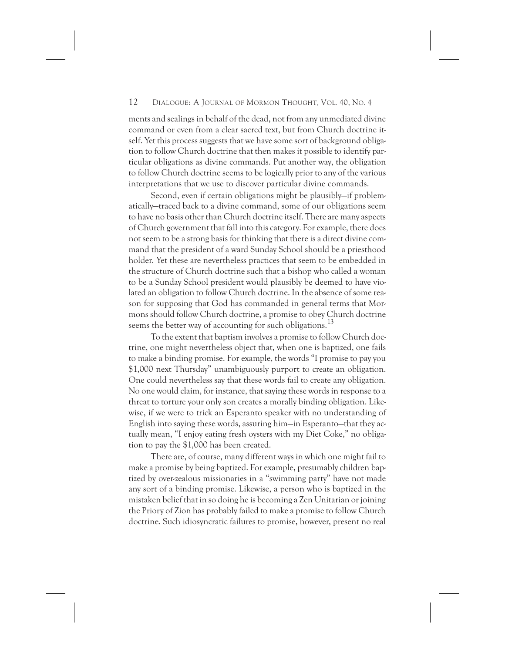ments and sealings in behalf of the dead, not from any unmediated divine command or even from a clear sacred text, but from Church doctrine itself. Yet this process suggests that we have some sort of background obligation to follow Church doctrine that then makes it possible to identify particular obligations as divine commands. Put another way, the obligation to follow Church doctrine seems to be logically prior to any of the various interpretations that we use to discover particular divine commands.

Second, even if certain obligations might be plausibly—if problematically—traced back to a divine command, some of our obligations seem to have no basis other than Church doctrine itself. There are many aspects of Church government that fall into this category. For example, there does not seem to be a strong basis for thinking that there is a direct divine command that the president of a ward Sunday School should be a priesthood holder. Yet these are nevertheless practices that seem to be embedded in the structure of Church doctrine such that a bishop who called a woman to be a Sunday School president would plausibly be deemed to have violated an obligation to follow Church doctrine. In the absence of some reason for supposing that God has commanded in general terms that Mormons should follow Church doctrine, a promise to obey Church doctrine seems the better way of accounting for such obligations.<sup>13</sup>

To the extent that baptism involves a promise to follow Church doctrine, one might nevertheless object that, when one is baptized, one fails to make a binding promise. For example, the words "I promise to pay you \$1,000 next Thursday" unambiguously purport to create an obligation. One could nevertheless say that these words fail to create any obligation. No one would claim, for instance, that saying these words in response to a threat to torture your only son creates a morally binding obligation. Likewise, if we were to trick an Esperanto speaker with no understanding of English into saying these words, assuring him—in Esperanto—that they actually mean, "I enjoy eating fresh oysters with my Diet Coke," no obligation to pay the \$1,000 has been created.

There are, of course, many different ways in which one might fail to make a promise by being baptized. For example, presumably children baptized by over-zealous missionaries in a "swimming party" have not made any sort of a binding promise. Likewise, a person who is baptized in the mistaken belief that in so doing he is becoming a Zen Unitarian or joining the Priory of Zion has probably failed to make a promise to follow Church doctrine. Such idiosyncratic failures to promise, however, present no real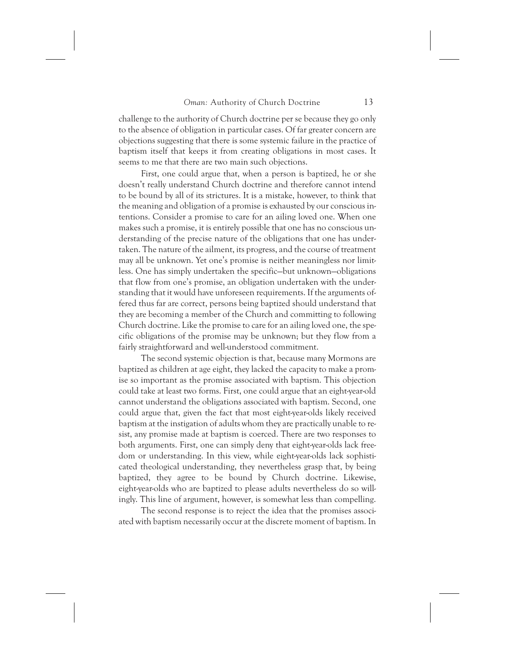challenge to the authority of Church doctrine per se because they go only to the absence of obligation in particular cases. Of far greater concern are objections suggesting that there is some systemic failure in the practice of baptism itself that keeps it from creating obligations in most cases. It seems to me that there are two main such objections.

First, one could argue that, when a person is baptized, he or she doesn't really understand Church doctrine and therefore cannot intend to be bound by all of its strictures. It is a mistake, however, to think that the meaning and obligation of a promise is exhausted by our conscious intentions. Consider a promise to care for an ailing loved one. When one makes such a promise, it is entirely possible that one has no conscious understanding of the precise nature of the obligations that one has undertaken. The nature of the ailment, its progress, and the course of treatment may all be unknown. Yet one's promise is neither meaningless nor limitless. One has simply undertaken the specific—but unknown—obligations that flow from one's promise, an obligation undertaken with the understanding that it would have unforeseen requirements. If the arguments offered thus far are correct, persons being baptized should understand that they are becoming a member of the Church and committing to following Church doctrine. Like the promise to care for an ailing loved one, the specific obligations of the promise may be unknown; but they flow from a fairly straightforward and well-understood commitment.

The second systemic objection is that, because many Mormons are baptized as children at age eight, they lacked the capacity to make a promise so important as the promise associated with baptism. This objection could take at least two forms. First, one could argue that an eight-year-old cannot understand the obligations associated with baptism. Second, one could argue that, given the fact that most eight-year-olds likely received baptism at the instigation of adults whom they are practically unable to resist, any promise made at baptism is coerced. There are two responses to both arguments. First, one can simply deny that eight-year-olds lack freedom or understanding. In this view, while eight-year-olds lack sophisticated theological understanding, they nevertheless grasp that, by being baptized, they agree to be bound by Church doctrine. Likewise, eight-year-olds who are baptized to please adults nevertheless do so willingly. This line of argument, however, is somewhat less than compelling.

The second response is to reject the idea that the promises associated with baptism necessarily occur at the discrete moment of baptism. In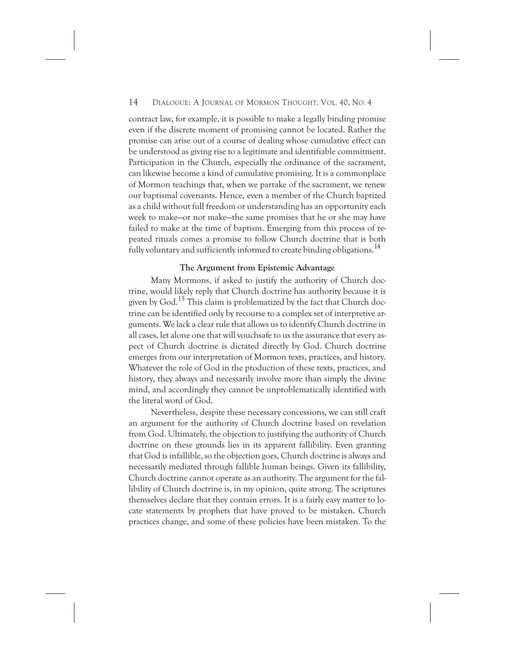contract law, for example, it is possible to make a legally binding promise even if the discrete moment of promising cannot be located. Rather the promise can arise out of a course of dealing whose cumulative effect can be understood as giving rise to a legitimate and identifiable commitment. Participation in the Church, especially the ordinance of the sacrament, can likewise become a kind of cumulative promising. It is a commonplace of Mormon teachings that, when we partake of the sacrament, we renew our baptismal covenants. Hence, even a member of the Church baptized as a child without full freedom or understanding has an opportunity each week to make—or not make—the same promises that he or she may have failed to make at the time of baptism. Emerging from this process of repeated rituals comes a promise to follow Church doctrine that is both fully voluntary and sufficiently informed to create binding obligations.<sup>14</sup>

#### **The Argument from Epistemic Advantage**

Many Mormons, if asked to justify the authority of Church doctrine, would likely reply that Church doctrine has authority because it is given by God.<sup>15</sup> This claim is problematized by the fact that Church doctrine can be identified only by recourse to a complex set of interpretive arguments. We lack a clear rule that allows us to identify Church doctrine in all cases, let alone one that will vouchsafe to us the assurance that every aspect of Church doctrine is dictated directly by God. Church doctrine emerges from our interpretation of Mormon texts, practices, and history. Whatever the role of God in the production of these texts, practices, and history, they always and necessarily involve more than simply the divine mind, and accordingly they cannot be unproblematically identified with the literal word of God.

Nevertheless, despite these necessary concessions, we can still craft an argument for the authority of Church doctrine based on revelation from God. Ultimately, the objection to justifying the authority of Church doctrine on these grounds lies in its apparent fallibility. Even granting that God is infallible, so the objection goes, Church doctrine is always and necessarily mediated through fallible human beings. Given its fallibility, Church doctrine cannot operate as an authority. The argument for the fallibility of Church doctrine is, in my opinion, quite strong. The scriptures themselves declare that they contain errors. It is a fairly easy matter to locate statements by prophets that have proved to be mistaken. Church practices change, and some of these policies have been mistaken. To the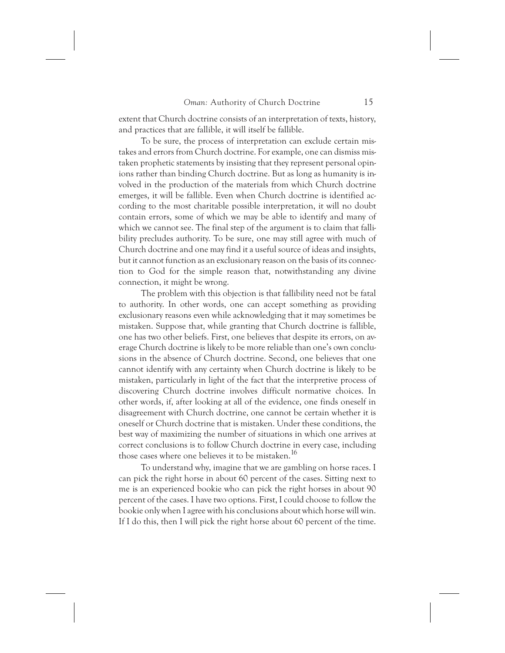extent that Church doctrine consists of an interpretation of texts, history, and practices that are fallible, it will itself be fallible.

To be sure, the process of interpretation can exclude certain mistakes and errors from Church doctrine. For example, one can dismiss mistaken prophetic statements by insisting that they represent personal opinions rather than binding Church doctrine. But as long as humanity is involved in the production of the materials from which Church doctrine emerges, it will be fallible. Even when Church doctrine is identified according to the most charitable possible interpretation, it will no doubt contain errors, some of which we may be able to identify and many of which we cannot see. The final step of the argument is to claim that fallibility precludes authority. To be sure, one may still agree with much of Church doctrine and one may find it a useful source of ideas and insights, but it cannot function as an exclusionary reason on the basis of its connection to God for the simple reason that, notwithstanding any divine connection, it might be wrong.

The problem with this objection is that fallibility need not be fatal to authority. In other words, one can accept something as providing exclusionary reasons even while acknowledging that it may sometimes be mistaken. Suppose that, while granting that Church doctrine is fallible, one has two other beliefs. First, one believes that despite its errors, on average Church doctrine is likely to be more reliable than one's own conclusions in the absence of Church doctrine. Second, one believes that one cannot identify with any certainty when Church doctrine is likely to be mistaken, particularly in light of the fact that the interpretive process of discovering Church doctrine involves difficult normative choices. In other words, if, after looking at all of the evidence, one finds oneself in disagreement with Church doctrine, one cannot be certain whether it is oneself or Church doctrine that is mistaken. Under these conditions, the best way of maximizing the number of situations in which one arrives at correct conclusions is to follow Church doctrine in every case, including those cases where one believes it to be mistaken.<sup>16</sup>

To understand why, imagine that we are gambling on horse races. I can pick the right horse in about 60 percent of the cases. Sitting next to me is an experienced bookie who can pick the right horses in about 90 percent of the cases. I have two options. First, I could choose to follow the bookie only when I agree with his conclusions about which horse will win. If I do this, then I will pick the right horse about 60 percent of the time.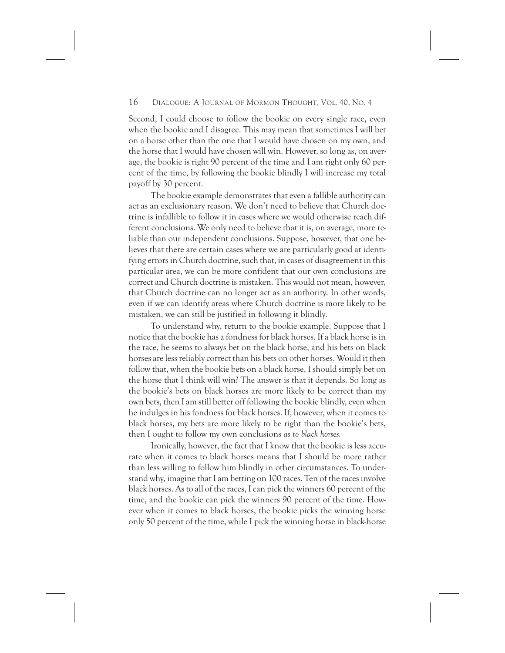Second, I could choose to follow the bookie on every single race, even when the bookie and I disagree. This may mean that sometimes I will bet on a horse other than the one that I would have chosen on my own, and the horse that I would have chosen will win. However, so long as, on average, the bookie is right 90 percent of the time and I am right only 60 percent of the time, by following the bookie blindly I will increase my total payoff by 30 percent.

The bookie example demonstrates that even a fallible authority can act as an exclusionary reason. We don't need to believe that Church doctrine is infallible to follow it in cases where we would otherwise reach different conclusions. We only need to believe that it is, on average, more reliable than our independent conclusions. Suppose, however, that one believes that there are certain cases where we are particularly good at identifying errors in Church doctrine, such that, in cases of disagreement in this particular area, we can be more confident that our own conclusions are correct and Church doctrine is mistaken. This would not mean, however, that Church doctrine can no longer act as an authority. In other words, even if we can identify areas where Church doctrine is more likely to be mistaken, we can still be justified in following it blindly.

To understand why, return to the bookie example. Suppose that I notice that the bookie has a fondness for black horses. If a black horse is in the race, he seems to always bet on the black horse, and his bets on black horses are less reliably correct than his bets on other horses. Would it then follow that, when the bookie bets on a black horse, I should simply bet on the horse that I think will win? The answer is that it depends. So long as the bookie's bets on black horses are more likely to be correct than my own bets, then I am still better off following the bookie blindly, even when he indulges in his fondness for black horses. If, however, when it comes to black horses, my bets are more likely to be right than the bookie's bets, then I ought to follow my own conclusions *as to black horses.*

Ironically, however, the fact that I know that the bookie is less accurate when it comes to black horses means that I should be more rather than less willing to follow him blindly in other circumstances. To understand why, imagine that I am betting on 100 races. Ten of the races involve black horses. As to all of the races, I can pick the winners 60 percent of the time, and the bookie can pick the winners 90 percent of the time. However when it comes to black horses, the bookie picks the winning horse only 50 percent of the time, while I pick the winning horse in black-horse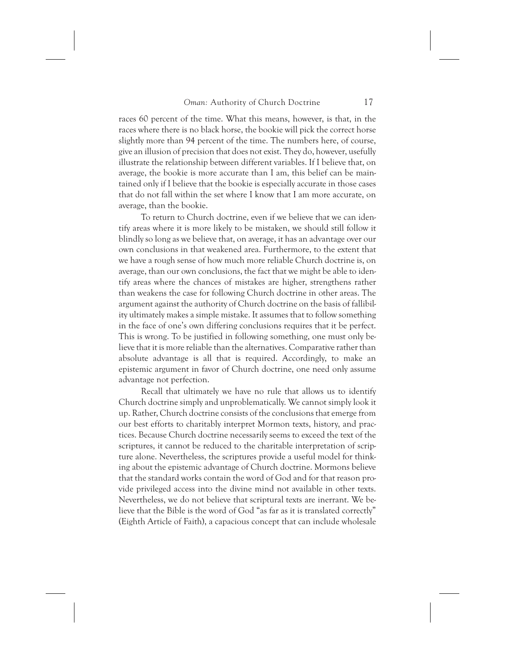races 60 percent of the time. What this means, however, is that, in the races where there is no black horse, the bookie will pick the correct horse slightly more than 94 percent of the time. The numbers here, of course, give an illusion of precision that does not exist. They do, however, usefully illustrate the relationship between different variables. If I believe that, on average, the bookie is more accurate than I am, this belief can be maintained only if I believe that the bookie is especially accurate in those cases that do not fall within the set where I know that I am more accurate, on average, than the bookie.

To return to Church doctrine, even if we believe that we can identify areas where it is more likely to be mistaken, we should still follow it blindly so long as we believe that, on average, it has an advantage over our own conclusions in that weakened area. Furthermore, to the extent that we have a rough sense of how much more reliable Church doctrine is, on average, than our own conclusions, the fact that we might be able to identify areas where the chances of mistakes are higher, strengthens rather than weakens the case for following Church doctrine in other areas. The argument against the authority of Church doctrine on the basis of fallibility ultimately makes a simple mistake. It assumes that to follow something in the face of one's own differing conclusions requires that it be perfect. This is wrong. To be justified in following something, one must only believe that it is more reliable than the alternatives. Comparative rather than absolute advantage is all that is required. Accordingly, to make an epistemic argument in favor of Church doctrine, one need only assume advantage not perfection.

Recall that ultimately we have no rule that allows us to identify Church doctrine simply and unproblematically. We cannot simply look it up. Rather, Church doctrine consists of the conclusions that emerge from our best efforts to charitably interpret Mormon texts, history, and practices. Because Church doctrine necessarily seems to exceed the text of the scriptures, it cannot be reduced to the charitable interpretation of scripture alone. Nevertheless, the scriptures provide a useful model for thinking about the epistemic advantage of Church doctrine. Mormons believe that the standard works contain the word of God and for that reason provide privileged access into the divine mind not available in other texts. Nevertheless, we do not believe that scriptural texts are inerrant. We believe that the Bible is the word of God "as far as it is translated correctly" (Eighth Article of Faith), a capacious concept that can include wholesale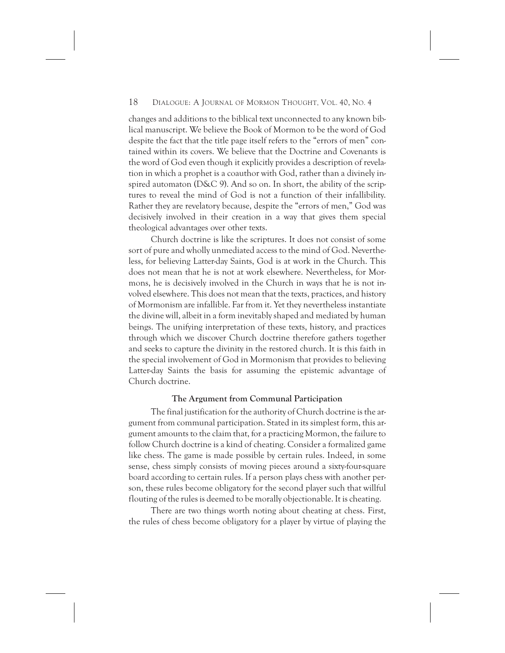changes and additions to the biblical text unconnected to any known biblical manuscript. We believe the Book of Mormon to be the word of God despite the fact that the title page itself refers to the "errors of men" contained within its covers. We believe that the Doctrine and Covenants is the word of God even though it explicitly provides a description of revelation in which a prophet is a coauthor with God, rather than a divinely inspired automaton (D&C 9). And so on. In short, the ability of the scriptures to reveal the mind of God is not a function of their infallibility. Rather they are revelatory because, despite the "errors of men," God was decisively involved in their creation in a way that gives them special theological advantages over other texts.

Church doctrine is like the scriptures. It does not consist of some sort of pure and wholly unmediated access to the mind of God. Nevertheless, for believing Latter-day Saints, God is at work in the Church. This does not mean that he is not at work elsewhere. Nevertheless, for Mormons, he is decisively involved in the Church in ways that he is not involved elsewhere. This does not mean that the texts, practices, and history of Mormonism are infallible. Far from it. Yet they nevertheless instantiate the divine will, albeit in a form inevitably shaped and mediated by human beings. The unifying interpretation of these texts, history, and practices through which we discover Church doctrine therefore gathers together and seeks to capture the divinity in the restored church. It is this faith in the special involvement of God in Mormonism that provides to believing Latter-day Saints the basis for assuming the epistemic advantage of Church doctrine.

#### **The Argument from Communal Participation**

The final justification for the authority of Church doctrine is the argument from communal participation. Stated in its simplest form, this argument amounts to the claim that, for a practicing Mormon, the failure to follow Church doctrine is a kind of cheating. Consider a formalized game like chess. The game is made possible by certain rules. Indeed, in some sense, chess simply consists of moving pieces around a sixty-four-square board according to certain rules. If a person plays chess with another person, these rules become obligatory for the second player such that willful flouting of the rules is deemed to be morally objectionable. It is cheating.

There are two things worth noting about cheating at chess. First, the rules of chess become obligatory for a player by virtue of playing the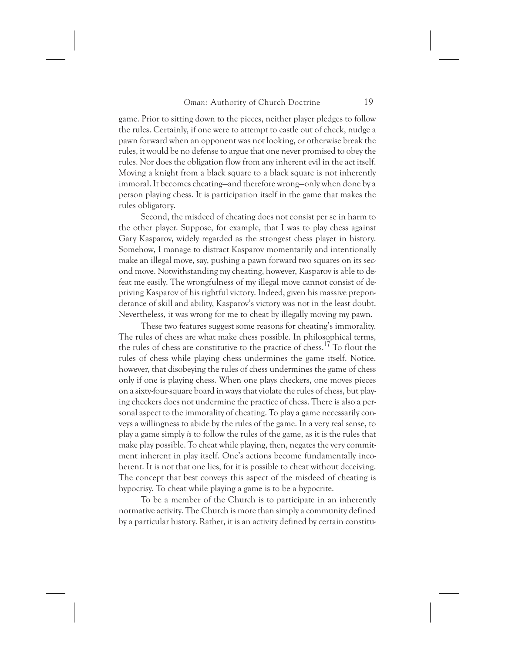game. Prior to sitting down to the pieces, neither player pledges to follow the rules. Certainly, if one were to attempt to castle out of check, nudge a pawn forward when an opponent was not looking, or otherwise break the rules, it would be no defense to argue that one never promised to obey the rules. Nor does the obligation flow from any inherent evil in the act itself. Moving a knight from a black square to a black square is not inherently immoral. It becomes cheating—and therefore wrong—only when done by a person playing chess. It is participation itself in the game that makes the rules obligatory.

Second, the misdeed of cheating does not consist per se in harm to the other player. Suppose, for example, that I was to play chess against Gary Kasparov, widely regarded as the strongest chess player in history. Somehow, I manage to distract Kasparov momentarily and intentionally make an illegal move, say, pushing a pawn forward two squares on its second move. Notwithstanding my cheating, however, Kasparov is able to defeat me easily. The wrongfulness of my illegal move cannot consist of depriving Kasparov of his rightful victory. Indeed, given his massive preponderance of skill and ability, Kasparov's victory was not in the least doubt. Nevertheless, it was wrong for me to cheat by illegally moving my pawn.

These two features suggest some reasons for cheating's immorality. The rules of chess are what make chess possible. In philosophical terms, the rules of chess are constitutive to the practice of chess.<sup>17</sup> To flout the rules of chess while playing chess undermines the game itself. Notice, however, that disobeying the rules of chess undermines the game of chess only if one is playing chess. When one plays checkers, one moves pieces on a sixty-four-square board in ways that violate the rules of chess, but playing checkers does not undermine the practice of chess. There is also a personal aspect to the immorality of cheating. To play a game necessarily conveys a willingness to abide by the rules of the game. In a very real sense, to play a game simply *is* to follow the rules of the game, as it is the rules that make play possible. To cheat while playing, then, negates the very commitment inherent in play itself. One's actions become fundamentally incoherent. It is not that one lies, for it is possible to cheat without deceiving. The concept that best conveys this aspect of the misdeed of cheating is hypocrisy. To cheat while playing a game is to be a hypocrite.

To be a member of the Church is to participate in an inherently normative activity. The Church is more than simply a community defined by a particular history. Rather, it is an activity defined by certain constitu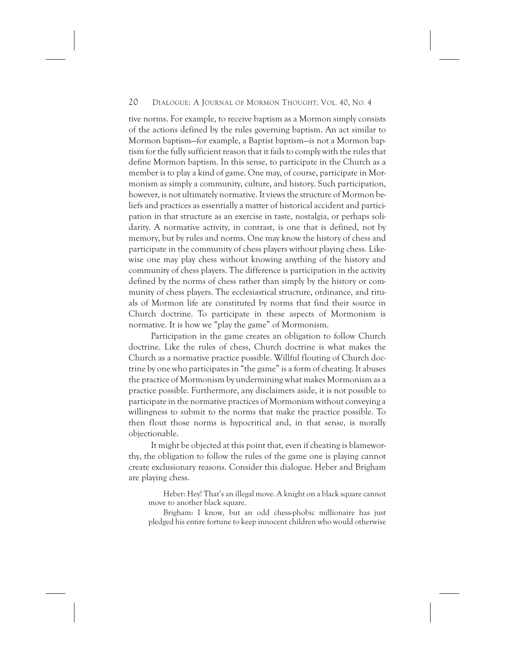tive norms. For example, to receive baptism as a Mormon simply consists of the actions defined by the rules governing baptism. An act similar to Mormon baptism—for example, a Baptist baptism—is not a Mormon baptism for the fully sufficient reason that it fails to comply with the rules that define Mormon baptism. In this sense, to participate in the Church as a member is to play a kind of game. One may, of course, participate in Mormonism as simply a community, culture, and history. Such participation, however, is not ultimately normative. It views the structure of Mormon beliefs and practices as essentially a matter of historical accident and participation in that structure as an exercise in taste, nostalgia, or perhaps solidarity. A normative activity, in contrast, is one that is defined, not by memory, but by rules and norms. One may know the history of chess and participate in the community of chess players without playing chess. Likewise one may play chess without knowing anything of the history and community of chess players. The difference is participation in the activity defined by the norms of chess rather than simply by the history or community of chess players. The ecclesiastical structure, ordinance, and rituals of Mormon life are constituted by norms that find their source in Church doctrine. To participate in these aspects of Mormonism is normative. It is how we "play the game" of Mormonism.

Participation in the game creates an obligation to follow Church doctrine. Like the rules of chess, Church doctrine is what makes the Church as a normative practice possible. Willful flouting of Church doctrine by one who participates in "the game" is a form of cheating. It abuses the practice of Mormonism by undermining what makes Mormonism as a practice possible. Furthermore, any disclaimers aside, it is not possible to participate in the normative practices of Mormonism without conveying a willingness to submit to the norms that make the practice possible. To then flout those norms is hypocritical and, in that sense, is morally objectionable.

It might be objected at this point that, even if cheating is blameworthy, the obligation to follow the rules of the game one is playing cannot create exclusionary reasons. Consider this dialogue. Heber and Brigham are playing chess.

Heber: Hey! That's an illegal move. A knight on a black square cannot move to another black square.

Brigham: I know, but an odd chess-phobic millionaire has just pledged his entire fortune to keep innocent children who would otherwise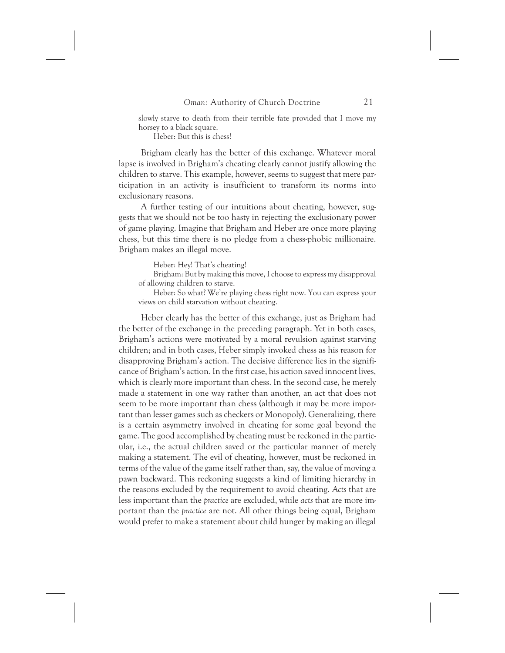slowly starve to death from their terrible fate provided that I move my horsey to a black square.

Heber: But this is chess!

Brigham clearly has the better of this exchange. Whatever moral lapse is involved in Brigham's cheating clearly cannot justify allowing the children to starve. This example, however, seems to suggest that mere participation in an activity is insufficient to transform its norms into exclusionary reasons.

A further testing of our intuitions about cheating, however, suggests that we should not be too hasty in rejecting the exclusionary power of game playing. Imagine that Brigham and Heber are once more playing chess, but this time there is no pledge from a chess-phobic millionaire. Brigham makes an illegal move.

Heber: Hey! That's cheating!

Brigham: But by making this move, I choose to express my disapproval of allowing children to starve.

Heber: So what? We're playing chess right now. You can express your views on child starvation without cheating.

Heber clearly has the better of this exchange, just as Brigham had the better of the exchange in the preceding paragraph. Yet in both cases, Brigham's actions were motivated by a moral revulsion against starving children; and in both cases, Heber simply invoked chess as his reason for disapproving Brigham's action. The decisive difference lies in the significance of Brigham's action. In the first case, his action saved innocent lives, which is clearly more important than chess. In the second case, he merely made a statement in one way rather than another, an act that does not seem to be more important than chess (although it may be more important than lesser games such as checkers or Monopoly). Generalizing, there is a certain asymmetry involved in cheating for some goal beyond the game. The good accomplished by cheating must be reckoned in the particular, i.e., the actual children saved or the particular manner of merely making a statement. The evil of cheating, however, must be reckoned in terms of the value of the game itself rather than, say, the value of moving a pawn backward. This reckoning suggests a kind of limiting hierarchy in the reasons excluded by the requirement to avoid cheating. *Acts* that are less important than the *practice* are excluded, while *acts* that are more important than the *practice* are not. All other things being equal, Brigham would prefer to make a statement about child hunger by making an illegal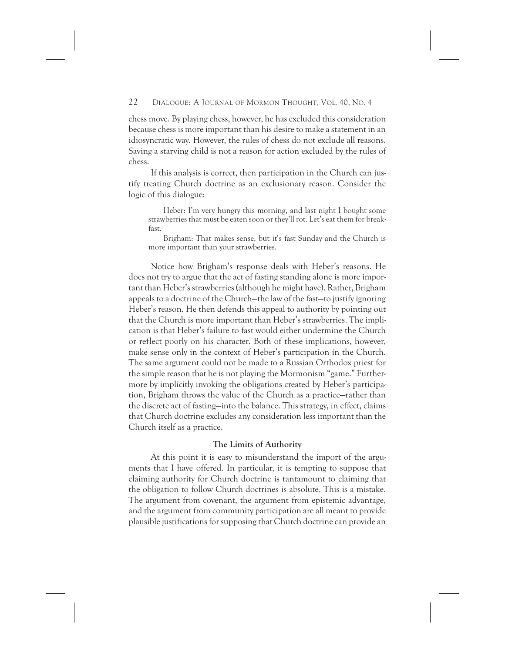chess move. By playing chess, however, he has excluded this consideration because chess is more important than his desire to make a statement in an idiosyncratic way. However, the rules of chess do not exclude all reasons. Saving a starving child is not a reason for action excluded by the rules of chess.

If this analysis is correct, then participation in the Church can justify treating Church doctrine as an exclusionary reason. Consider the logic of this dialogue:

Heber: I'm very hungry this morning, and last night I bought some strawberries that must be eaten soon or they'll rot. Let's eat them for breakfast.

Brigham: That makes sense, but it's fast Sunday and the Church is more important than your strawberries.

Notice how Brigham's response deals with Heber's reasons. He does not try to argue that the act of fasting standing alone is more important than Heber's strawberries (although he might have). Rather, Brigham appeals to a doctrine of the Church—the law of the fast—to justify ignoring Heber's reason. He then defends this appeal to authority by pointing out that the Church is more important than Heber's strawberries. The implication is that Heber's failure to fast would either undermine the Church or reflect poorly on his character. Both of these implications, however, make sense only in the context of Heber's participation in the Church. The same argument could not be made to a Russian Orthodox priest for the simple reason that he is not playing the Mormonism "game." Furthermore by implicitly invoking the obligations created by Heber's participation, Brigham throws the value of the Church as a practice—rather than the discrete act of fasting—into the balance. This strategy, in effect, claims that Church doctrine excludes any consideration less important than the Church itself as a practice.

#### **The Limits of Authority**

At this point it is easy to misunderstand the import of the arguments that I have offered. In particular, it is tempting to suppose that claiming authority for Church doctrine is tantamount to claiming that the obligation to follow Church doctrines is absolute. This is a mistake. The argument from covenant, the argument from epistemic advantage, and the argument from community participation are all meant to provide plausible justifications for supposing that Church doctrine can provide an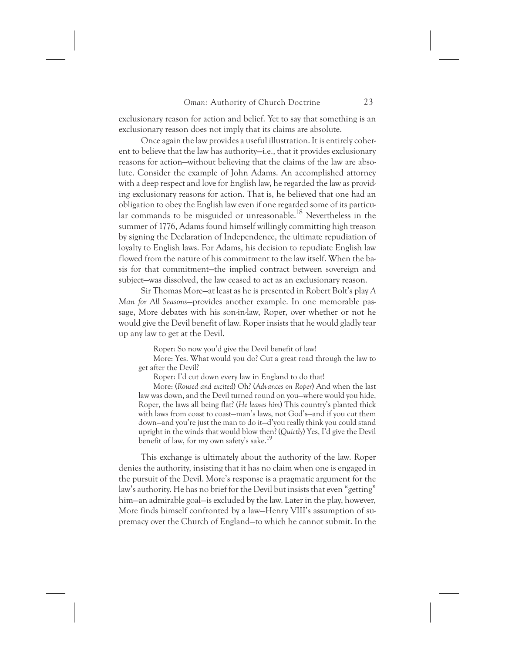exclusionary reason for action and belief. Yet to say that something is an exclusionary reason does not imply that its claims are absolute.

Once again the law provides a useful illustration. It is entirely coherent to believe that the law has authority—i.e., that it provides exclusionary reasons for action—without believing that the claims of the law are absolute. Consider the example of John Adams. An accomplished attorney with a deep respect and love for English law, he regarded the law as providing exclusionary reasons for action. That is, he believed that one had an obligation to obey the English law even if one regarded some of its particular commands to be misguided or unreasonable.<sup>18</sup> Nevertheless in the summer of 1776, Adams found himself willingly committing high treason by signing the Declaration of Independence, the ultimate repudiation of loyalty to English laws. For Adams, his decision to repudiate English law flowed from the nature of his commitment to the law itself. When the basis for that commitment—the implied contract between sovereign and subject—was dissolved, the law ceased to act as an exclusionary reason.

Sir Thomas More—at least as he is presented in Robert Bolt's play *A Man for All Seasons*—provides another example. In one memorable passage, More debates with his son-in-law, Roper, over whether or not he would give the Devil benefit of law. Roper insists that he would gladly tear up any law to get at the Devil.

Roper: So now you'd give the Devil benefit of law!

More: Yes. What would you do? Cut a great road through the law to get after the Devil?

Roper: I'd cut down every law in England to do that!

More: (*Roused and excited*) Oh? (*Advances on Roper*) And when the last law was down, and the Devil turned round on you—where would you hide, Roper, the laws all being flat? (*He leaves him*) This country's planted thick with laws from coast to coast—man's laws, not God's—and if you cut them down—and you're just the man to do it—d'you really think you could stand upright in the winds that would blow then? (*Quietly*) Yes, I'd give the Devil benefit of law, for my own safety's sake.<sup>19</sup>

This exchange is ultimately about the authority of the law. Roper denies the authority, insisting that it has no claim when one is engaged in the pursuit of the Devil. More's response is a pragmatic argument for the law's authority. He has no brief for the Devil but insists that even "getting" him—an admirable goal—is excluded by the law. Later in the play, however, More finds himself confronted by a law—Henry VIII's assumption of supremacy over the Church of England—to which he cannot submit. In the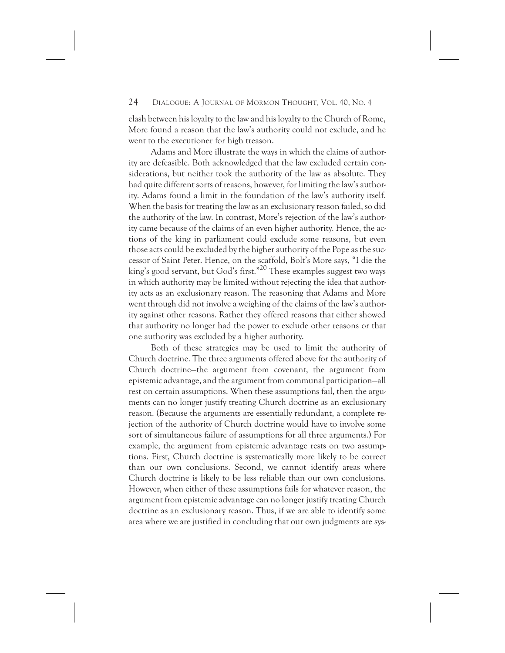clash between his loyalty to the law and his loyalty to the Church of Rome, More found a reason that the law's authority could not exclude, and he went to the executioner for high treason.

Adams and More illustrate the ways in which the claims of authority are defeasible. Both acknowledged that the law excluded certain considerations, but neither took the authority of the law as absolute. They had quite different sorts of reasons, however, for limiting the law's authority. Adams found a limit in the foundation of the law's authority itself. When the basis for treating the law as an exclusionary reason failed, so did the authority of the law. In contrast, More's rejection of the law's authority came because of the claims of an even higher authority. Hence, the actions of the king in parliament could exclude some reasons, but even those acts could be excluded by the higher authority of the Pope as the successor of Saint Peter. Hence, on the scaffold, Bolt's More says, "I die the king's good servant, but God's first.<sup>"20</sup> These examples suggest two ways in which authority may be limited without rejecting the idea that authority acts as an exclusionary reason. The reasoning that Adams and More went through did not involve a weighing of the claims of the law's authority against other reasons. Rather they offered reasons that either showed that authority no longer had the power to exclude other reasons or that one authority was excluded by a higher authority.

Both of these strategies may be used to limit the authority of Church doctrine. The three arguments offered above for the authority of Church doctrine—the argument from covenant, the argument from epistemic advantage, and the argument from communal participation—all rest on certain assumptions. When these assumptions fail, then the arguments can no longer justify treating Church doctrine as an exclusionary reason. (Because the arguments are essentially redundant, a complete rejection of the authority of Church doctrine would have to involve some sort of simultaneous failure of assumptions for all three arguments.) For example, the argument from epistemic advantage rests on two assumptions. First, Church doctrine is systematically more likely to be correct than our own conclusions. Second, we cannot identify areas where Church doctrine is likely to be less reliable than our own conclusions. However, when either of these assumptions fails for whatever reason, the argument from epistemic advantage can no longer justify treating Church doctrine as an exclusionary reason. Thus, if we are able to identify some area where we are justified in concluding that our own judgments are sys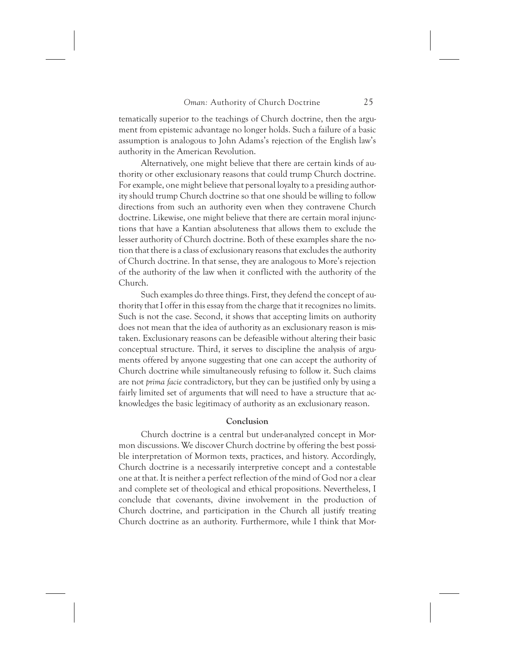tematically superior to the teachings of Church doctrine, then the argument from epistemic advantage no longer holds. Such a failure of a basic assumption is analogous to John Adams's rejection of the English law's authority in the American Revolution.

Alternatively, one might believe that there are certain kinds of authority or other exclusionary reasons that could trump Church doctrine. For example, one might believe that personal loyalty to a presiding authority should trump Church doctrine so that one should be willing to follow directions from such an authority even when they contravene Church doctrine. Likewise, one might believe that there are certain moral injunctions that have a Kantian absoluteness that allows them to exclude the lesser authority of Church doctrine. Both of these examples share the notion that there is a class of exclusionary reasons that excludes the authority of Church doctrine. In that sense, they are analogous to More's rejection of the authority of the law when it conflicted with the authority of the Church.

Such examples do three things. First, they defend the concept of authority that I offer in this essay from the charge that it recognizes no limits. Such is not the case. Second, it shows that accepting limits on authority does not mean that the idea of authority as an exclusionary reason is mistaken. Exclusionary reasons can be defeasible without altering their basic conceptual structure. Third, it serves to discipline the analysis of arguments offered by anyone suggesting that one can accept the authority of Church doctrine while simultaneously refusing to follow it. Such claims are not *prima facie* contradictory, but they can be justified only by using a fairly limited set of arguments that will need to have a structure that acknowledges the basic legitimacy of authority as an exclusionary reason.

#### **Conclusion**

Church doctrine is a central but under-analyzed concept in Mormon discussions. We discover Church doctrine by offering the best possible interpretation of Mormon texts, practices, and history. Accordingly, Church doctrine is a necessarily interpretive concept and a contestable one at that. It is neither a perfect reflection of the mind of God nor a clear and complete set of theological and ethical propositions. Nevertheless, I conclude that covenants, divine involvement in the production of Church doctrine, and participation in the Church all justify treating Church doctrine as an authority. Furthermore, while I think that Mor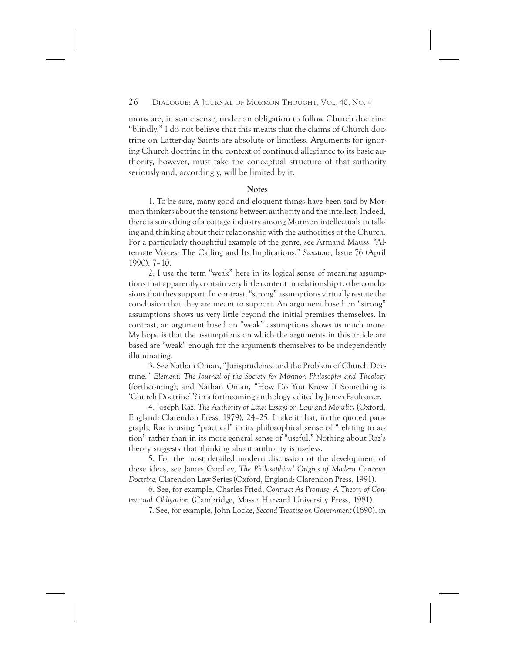mons are, in some sense, under an obligation to follow Church doctrine "blindly," I do not believe that this means that the claims of Church doctrine on Latter-day Saints are absolute or limitless. Arguments for ignoring Church doctrine in the context of continued allegiance to its basic authority, however, must take the conceptual structure of that authority seriously and, accordingly, will be limited by it.

#### **Notes**

1. To be sure, many good and eloquent things have been said by Mormon thinkers about the tensions between authority and the intellect. Indeed, there is something of a cottage industry among Mormon intellectuals in talking and thinking about their relationship with the authorities of the Church. For a particularly thoughtful example of the genre, see Armand Mauss, "Alternate Voices: The Calling and Its Implications," *Sunstone,* Issue 76 (April 1990): 7–10.

2. I use the term "weak" here in its logical sense of meaning assumptions that apparently contain very little content in relationship to the conclusions that they support. In contrast, "strong" assumptions virtually restate the conclusion that they are meant to support. An argument based on "strong" assumptions shows us very little beyond the initial premises themselves. In contrast, an argument based on "weak" assumptions shows us much more. My hope is that the assumptions on which the arguments in this article are based are "weak" enough for the arguments themselves to be independently illuminating.

3. See Nathan Oman, "Jurisprudence and the Problem of Church Doctrine," *Element: The Journal of the Society for Mormon Philosophy and Theology* (forthcoming); and Nathan Oman, "How Do You Know If Something is 'Church Doctrine'"? in a forthcoming anthology edited by James Faulconer.

4. Joseph Raz, *The Authority of Law: Essays on Law and Morality* (Oxford, England: Clarendon Press, 1979), 24–25. I take it that, in the quoted paragraph, Raz is using "practical" in its philosophical sense of "relating to action" rather than in its more general sense of "useful." Nothing about Raz's theory suggests that thinking about authority is useless.

5. For the most detailed modern discussion of the development of these ideas, see James Gordley, *The Philosophical Origins of Modern Contract Doctrine,* Clarendon Law Series (Oxford, England: Clarendon Press, 1991).

6. See, for example, Charles Fried, *Contract As Promise: A Theory of Contractual Obligation* (Cambridge, Mass.: Harvard University Press, 1981).

7. See, for example, John Locke, *Second Treatise on Government* (1690), in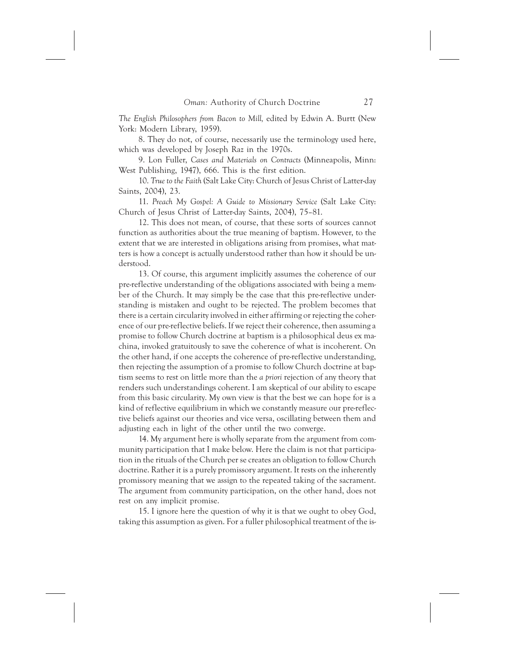*The English Philosophers from Bacon to Mill,* edited by Edwin A. Burtt (New York: Modern Library, 1959).

8. They do not, of course, necessarily use the terminology used here, which was developed by Joseph Raz in the 1970s.

9. Lon Fuller, *Cases and Materials on Contracts* (Minneapolis, Minn: West Publishing, 1947), 666. This is the first edition.

10. *True to the Faith* (Salt Lake City: Church of Jesus Christ of Latter-day Saints, 2004), 23.

11. *Preach My Gospel: A Guide to Missionary Service* (Salt Lake City: Church of Jesus Christ of Latter-day Saints, 2004), 75–81.

12. This does not mean, of course, that these sorts of sources cannot function as authorities about the true meaning of baptism. However, to the extent that we are interested in obligations arising from promises, what matters is how a concept is actually understood rather than how it should be understood.

13. Of course, this argument implicitly assumes the coherence of our pre-reflective understanding of the obligations associated with being a member of the Church. It may simply be the case that this pre-reflective understanding is mistaken and ought to be rejected. The problem becomes that there is a certain circularity involved in either affirming or rejecting the coherence of our pre-reflective beliefs. If we reject their coherence, then assuming a promise to follow Church doctrine at baptism is a philosophical deus ex machina, invoked gratuitously to save the coherence of what is incoherent. On the other hand, if one accepts the coherence of pre-reflective understanding, then rejecting the assumption of a promise to follow Church doctrine at baptism seems to rest on little more than the *a priori* rejection of any theory that renders such understandings coherent. I am skeptical of our ability to escape from this basic circularity. My own view is that the best we can hope for is a kind of reflective equilibrium in which we constantly measure our pre-reflective beliefs against our theories and vice versa, oscillating between them and adjusting each in light of the other until the two converge.

14. My argument here is wholly separate from the argument from community participation that I make below. Here the claim is not that participation in the rituals of the Church per se creates an obligation to follow Church doctrine. Rather it is a purely promissory argument. It rests on the inherently promissory meaning that we assign to the repeated taking of the sacrament. The argument from community participation, on the other hand, does not rest on any implicit promise.

15. I ignore here the question of why it is that we ought to obey God, taking this assumption as given. For a fuller philosophical treatment of the is-